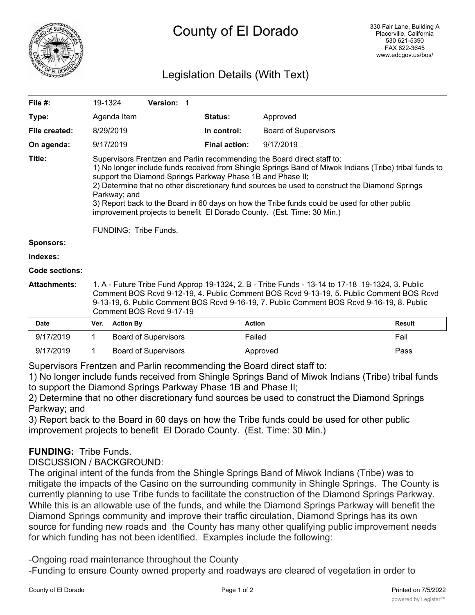

## Legislation Details (With Text)

| File #:               | 19-1324                                                                                                                                                                                                                                                                                                                                                                                                                                                                                                                                                              | Version: 1 |                      |                             |               |  |  |
|-----------------------|----------------------------------------------------------------------------------------------------------------------------------------------------------------------------------------------------------------------------------------------------------------------------------------------------------------------------------------------------------------------------------------------------------------------------------------------------------------------------------------------------------------------------------------------------------------------|------------|----------------------|-----------------------------|---------------|--|--|
| Type:                 | Agenda Item                                                                                                                                                                                                                                                                                                                                                                                                                                                                                                                                                          |            | <b>Status:</b>       | Approved                    |               |  |  |
| File created:         | 8/29/2019                                                                                                                                                                                                                                                                                                                                                                                                                                                                                                                                                            |            | In control:          | <b>Board of Supervisors</b> |               |  |  |
| On agenda:            | 9/17/2019                                                                                                                                                                                                                                                                                                                                                                                                                                                                                                                                                            |            | <b>Final action:</b> | 9/17/2019                   |               |  |  |
| Title:                | Supervisors Frentzen and Parlin recommending the Board direct staff to:<br>1) No longer include funds received from Shingle Springs Band of Miwok Indians (Tribe) tribal funds to<br>support the Diamond Springs Parkway Phase 1B and Phase II;<br>2) Determine that no other discretionary fund sources be used to construct the Diamond Springs<br>Parkway; and<br>3) Report back to the Board in 60 days on how the Tribe funds could be used for other public<br>improvement projects to benefit El Dorado County. (Est. Time: 30 Min.)<br>FUNDING: Tribe Funds. |            |                      |                             |               |  |  |
| <b>Sponsors:</b>      |                                                                                                                                                                                                                                                                                                                                                                                                                                                                                                                                                                      |            |                      |                             |               |  |  |
| Indexes:              |                                                                                                                                                                                                                                                                                                                                                                                                                                                                                                                                                                      |            |                      |                             |               |  |  |
| <b>Code sections:</b> |                                                                                                                                                                                                                                                                                                                                                                                                                                                                                                                                                                      |            |                      |                             |               |  |  |
| <b>Attachments:</b>   | 1. A - Future Tribe Fund Approp 19-1324, 2. B - Tribe Funds - 13-14 to 17-18 19-1324, 3. Public<br>Comment BOS Rcvd 9-12-19, 4. Public Comment BOS Rcvd 9-13-19, 5. Public Comment BOS Rcvd<br>9-13-19, 6. Public Comment BOS Rcvd 9-16-19, 7. Public Comment BOS Rcvd 9-16-19, 8. Public<br>Comment BOS Rcvd 9-17-19                                                                                                                                                                                                                                                |            |                      |                             |               |  |  |
| <b>Date</b>           | Ver. Action By                                                                                                                                                                                                                                                                                                                                                                                                                                                                                                                                                       |            |                      | <b>Action</b>               | <b>Result</b> |  |  |

| <b>Date</b> |           | Ver. | <b>Action By</b>            | <b>Action</b> | Result |
|-------------|-----------|------|-----------------------------|---------------|--------|
|             | 9/17/2019 |      | <b>Board of Supervisors</b> | Failed        | Fail   |
|             | 9/17/2019 |      | Board of Supervisors        | Approved      | Pass   |

Supervisors Frentzen and Parlin recommending the Board direct staff to:

1) No longer include funds received from Shingle Springs Band of Miwok Indians (Tribe) tribal funds to support the Diamond Springs Parkway Phase 1B and Phase II;

2) Determine that no other discretionary fund sources be used to construct the Diamond Springs Parkway; and

3) Report back to the Board in 60 days on how the Tribe funds could be used for other public improvement projects to benefit El Dorado County. (Est. Time: 30 Min.)

## **FUNDING:** Tribe Funds.

DISCUSSION / BACKGROUND:

The original intent of the funds from the Shingle Springs Band of Miwok Indians (Tribe) was to mitigate the impacts of the Casino on the surrounding community in Shingle Springs. The County is currently planning to use Tribe funds to facilitate the construction of the Diamond Springs Parkway. While this is an allowable use of the funds, and while the Diamond Springs Parkway will benefit the Diamond Springs community and improve their traffic circulation, Diamond Springs has its own source for funding new roads and the County has many other qualifying public improvement needs for which funding has not been identified. Examples include the following:

-Ongoing road maintenance throughout the County

-Funding to ensure County owned property and roadways are cleared of vegetation in order to